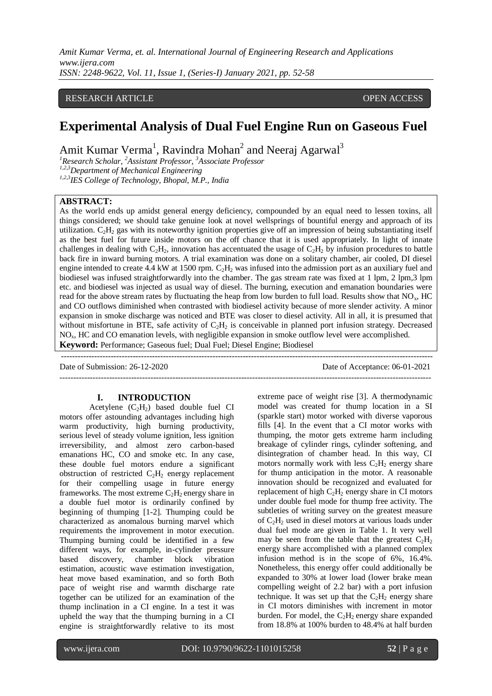## RESEARCH ARTICLE **CONTRACT ARTICLE**

# **Experimental Analysis of Dual Fuel Engine Run on Gaseous Fuel**

Amit Kumar Verma<sup>1</sup>, Ravindra Mohan<sup>2</sup> and Neeraj Agarwal<sup>3</sup>

*<sup>1</sup>Research Scholar, <sup>2</sup>Assistant Professor, <sup>3</sup>Associate Professor 1,2,3Department of Mechanical Engineering 1,2,3IES College of Technology, Bhopal, M.P., India*

#### **ABSTRACT:**

As the world ends up amidst general energy deficiency, compounded by an equal need to lessen toxins, all things considered; we should take genuine look at novel wellsprings of bountiful energy and approach of its utilization.  $C_2H_2$  gas with its noteworthy ignition properties give off an impression of being substantiating itself as the best fuel for future inside motors on the off chance that it is used appropriately. In light of innate challenges in dealing with  $C_2H_2$ , innovation has accentuated the usage of  $C_2H_2$  by infusion procedures to battle back fire in inward burning motors. A trial examination was done on a solitary chamber, air cooled, DI diesel engine intended to create 4.4 kW at 1500 rpm.  $C_2H_2$  was infused into the admission port as an auxiliary fuel and biodiesel was infused straightforwardly into the chamber. The gas stream rate was fixed at 1 lpm, 2 lpm,3 lpm etc. and biodiesel was injected as usual way of diesel. The burning, execution and emanation boundaries were read for the above stream rates by fluctuating the heap from low burden to full load. Results show that NO<sub>x</sub>, HC and CO outflows diminished when contrasted with biodiesel activity because of more slender activity. A minor expansion in smoke discharge was noticed and BTE was closer to diesel activity. All in all, it is presumed that without misfortune in BTE, safe activity of  $C_2H_2$  is conceivable in planned port infusion strategy. Decreased NOx, HC and CO emanation levels, with negligible expansion in smoke outflow level were accomplished. **Keyword:** Performance; Gaseous fuel; Dual Fuel; Diesel Engine; Biodiesel

*-*--------------------------------------------------------------------------------------------------------------------------------------

---------------------------------------------------------------------------------------------------------------------------------------

Date of Submission: 26-12-2020 Date of Acceptance: 06-01-2021

#### **I. INTRODUCTION**

Acetylene  $(C_2H_2)$  based double fuel CI motors offer astounding advantages including high warm productivity, high burning productivity, serious level of steady volume ignition, less ignition irreversibility, and almost zero carbon-based emanations HC, CO and smoke etc. In any case, these double fuel motors endure a significant obstruction of restricted  $C_2H_2$  energy replacement for their compelling usage in future energy frameworks. The most extreme  $C_2H_2$  energy share in a double fuel motor is ordinarily confined by beginning of thumping [1-2]. Thumping could be characterized as anomalous burning marvel which requirements the improvement in motor execution. Thumping burning could be identified in a few different ways, for example, in-cylinder pressure based discovery, chamber block vibration estimation, acoustic wave estimation investigation, heat move based examination, and so forth Both pace of weight rise and warmth discharge rate together can be utilized for an examination of the thump inclination in a CI engine. In a test it was upheld the way that the thumping burning in a CI engine is straightforwardly relative to its most extreme pace of weight rise [3]. A thermodynamic model was created for thump location in a SI (sparkle start) motor worked with diverse vaporous fills [4]. In the event that a CI motor works with thumping, the motor gets extreme harm including breakage of cylinder rings, cylinder softening, and disintegration of chamber head. In this way, CI motors normally work with less  $C_2H_2$  energy share for thump anticipation in the motor. A reasonable innovation should be recognized and evaluated for replacement of high  $C_2H_2$  energy share in CI motors under double fuel mode for thump free activity. The subtleties of writing survey on the greatest measure of  $C_2H_2$  used in diesel motors at various loads under dual fuel mode are given in Table 1. It very well may be seen from the table that the greatest  $C_2H_2$ energy share accomplished with a planned complex infusion method is in the scope of 6%, 16.4%. Nonetheless, this energy offer could additionally be expanded to 30% at lower load (lower brake mean compelling weight of 2.2 bar) with a port infusion technique. It was set up that the  $C_2H_2$  energy share in CI motors diminishes with increment in motor burden. For model, the  $C_2H_2$  energy share expanded from 18.8% at 100% burden to 48.4% at half burden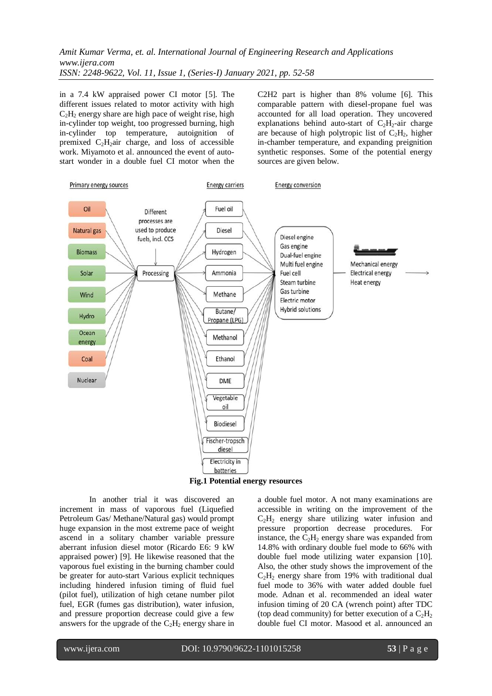in a 7.4 kW appraised power CI motor [5]. The different issues related to motor activity with high  $C_2H_2$  energy share are high pace of weight rise, high in-cylinder top weight, too progressed burning, high in-cylinder top temperature, autoignition of premixed  $C_2H_2$ air charge, and loss of accessible work. Miyamoto et al. announced the event of autostart wonder in a double fuel CI motor when the C2H2 part is higher than 8% volume [6]. This comparable pattern with diesel-propane fuel was accounted for all load operation. They uncovered explanations behind auto-start of  $C_2H_2$ -air charge are because of high polytropic list of  $C_2H_2$ , higher in-chamber temperature, and expanding preignition synthetic responses. Some of the potential energy sources are given below.



**Fig.1 Potential energy resources**

In another trial it was discovered an increment in mass of vaporous fuel (Liquefied Petroleum Gas/ Methane/Natural gas) would prompt huge expansion in the most extreme pace of weight ascend in a solitary chamber variable pressure aberrant infusion diesel motor (Ricardo E6: 9 kW appraised power) [9]. He likewise reasoned that the vaporous fuel existing in the burning chamber could be greater for auto-start Various explicit techniques including hindered infusion timing of fluid fuel (pilot fuel), utilization of high cetane number pilot fuel, EGR (fumes gas distribution), water infusion, and pressure proportion decrease could give a few answers for the upgrade of the  $C_2H_2$  energy share in a double fuel motor. A not many examinations are accessible in writing on the improvement of the  $C_2H_2$  energy share utilizing water infusion and pressure proportion decrease procedures. For instance, the  $C_2H_2$  energy share was expanded from 14.8% with ordinary double fuel mode to 66% with double fuel mode utilizing water expansion [10]. Also, the other study shows the improvement of the  $C_2H_2$  energy share from 19% with traditional dual fuel mode to 36% with water added double fuel mode. Adnan et al. recommended an ideal water infusion timing of 20 CA (wrench point) after TDC (top dead community) for better execution of a  $C_2H_2$ double fuel CI motor. Masood et al. announced an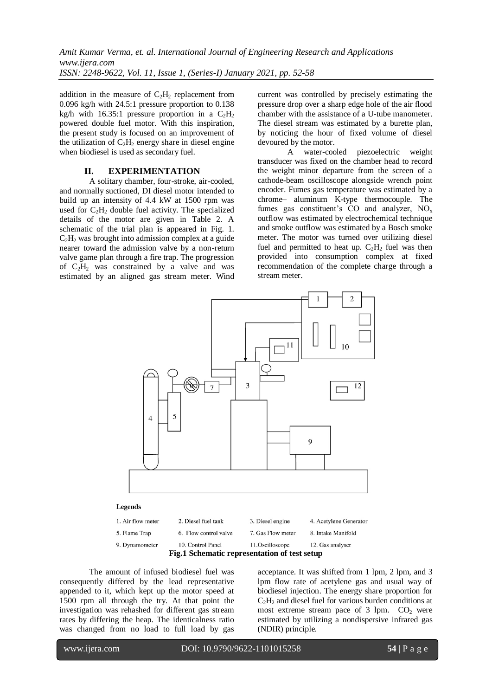addition in the measure of  $C_2H_2$  replacement from 0.096 kg/h with 24.5:1 pressure proportion to 0.138 kg/h with 16.35:1 pressure proportion in a  $C_2H_2$ powered double fuel motor. With this inspiration, the present study is focused on an improvement of the utilization of  $C_2H_2$  energy share in diesel engine when biodiesel is used as secondary fuel.

#### **II. EXPERIMENTATION**

A solitary chamber, four-stroke, air-cooled, and normally suctioned, DI diesel motor intended to build up an intensity of 4.4 kW at 1500 rpm was used for  $C_2H_2$  double fuel activity. The specialized details of the motor are given in Table 2. A schematic of the trial plan is appeared in Fig. 1.  $C_2H_2$  was brought into admission complex at a guide nearer toward the admission valve by a non-return valve game plan through a fire trap. The progression of  $C_2H_2$  was constrained by a valve and was estimated by an aligned gas stream meter. Wind current was controlled by precisely estimating the pressure drop over a sharp edge hole of the air flood chamber with the assistance of a U-tube manometer. The diesel stream was estimated by a burette plan, by noticing the hour of fixed volume of diesel devoured by the motor.

A water-cooled piezoelectric weight transducer was fixed on the chamber head to record the weight minor departure from the screen of a cathode-beam oscilloscope alongside wrench point encoder. Fumes gas temperature was estimated by a chrome– aluminum K-type thermocouple. The fumes gas constituent's  $CO$  and analyzer,  $NO<sub>x</sub>$ outflow was estimated by electrochemical technique and smoke outflow was estimated by a Bosch smoke meter. The motor was turned over utilizing diesel fuel and permitted to heat up.  $C_2H_2$  fuel was then provided into consumption complex at fixed recommendation of the complete charge through a stream meter.



| 5. Flame Trap  | 6. Flow control valve | 7. Gas Flow meter             | 8. Intake Manifold |
|----------------|-----------------------|-------------------------------|--------------------|
| 9. Dynamometer | 10. Control Panel     | 11.Oscilloscope               | 12. Gas analyser   |
|                | <b>TH</b> 4 6 1       | $\overline{1}$ $\overline{1}$ |                    |

**Fig.1 Schematic representation of test setup**

The amount of infused biodiesel fuel was consequently differed by the lead representative appended to it, which kept up the motor speed at 1500 rpm all through the try. At that point the investigation was rehashed for different gas stream rates by differing the heap. The identicalness ratio was changed from no load to full load by gas

acceptance. It was shifted from 1 lpm, 2 lpm, and 3 lpm flow rate of acetylene gas and usual way of biodiesel injection. The energy share proportion for  $C_2H_2$  and diesel fuel for various burden conditions at most extreme stream pace of  $3$  lpm.  $CO<sub>2</sub>$  were estimated by utilizing a nondispersive infrared gas (NDIR) principle.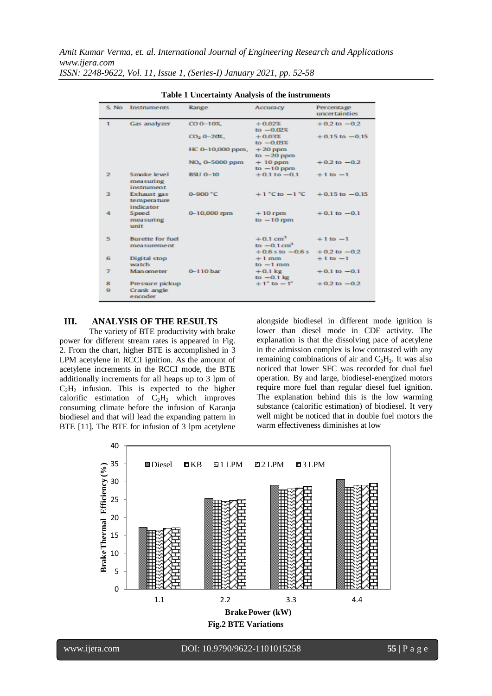|                | S. No Instruments                              | Range                                       | Accuracy                                            | Percentage<br>uncertainties      |
|----------------|------------------------------------------------|---------------------------------------------|-----------------------------------------------------|----------------------------------|
| $\mathbf{1}$   | Gas analyzer                                   | $CO$ 0-10%                                  | $+0.02%$<br>$to -0.02%$                             | $+0.2$ to $-0.2$                 |
|                |                                                | $CO2$ 0-20 <sup><math>\&amp;</math></sup> . | $+0.03%$<br>$to -0.03%$                             | $+0.15$ to $-0.15$               |
|                |                                                | HC 0-10,000 ppm.                            | $+20$ ppm<br>to $-20$ ppm                           |                                  |
|                |                                                | NO <sub>x</sub> 0-5000 ppm                  | $+10$ ppm<br>to $-10$ ppm                           | $+0.2$ to $-0.2$                 |
| $\overline{2}$ | Smoke level<br>measuring<br>instrument         | <b>BSU 0-10</b>                             | $+0.1$ to $-0.1$                                    | $+1$ to $-1$                     |
| в              | Exhaust gas<br>temperature<br><i>indicator</i> | $0 - 900 °C$                                | $+1$ °C to $-1$ °C                                  | $+0.15$ to $-0.15$               |
| 4              | Speed<br>measuring<br>unit                     | $0 - 10,000$ mm                             | $+10$ rpm<br>$to -10$ rpm                           | $+0.1$ to $-0.1$                 |
| 5              | <b>Burette for fuel</b><br>measurement         |                                             | $+0.1$ cm <sup>3</sup><br>to $-0.1$ cm <sup>3</sup> | $+1$ to $-1$                     |
| 6              | Digital stop<br>watch.                         |                                             | $+0.6$ s to $-0.6$ s<br>$+1$ mm<br>$to -1$ mm       | $+0.2$ to $-0.2$<br>$+1$ to $-1$ |
| 7              | Manometer                                      | $0 - 110$ bar                               | $+0.1 \text{ kg}$<br>to $-0.1$ kg                   | $+0.1$ to $-0.1$                 |
| 8<br>٠         | Pressure pickup<br>Crank angle<br>encoder      |                                             | $+1$ ° to $-1$ °                                    | $+0.2$ to $-0.2$                 |

**Table 1 Uncertainty Analysis of the instruments**

# **III. ANALYSIS OF THE RESULTS**

The variety of BTE productivity with brake power for different stream rates is appeared in Fig. 2. From the chart, higher BTE is accomplished in 3 LPM acetylene in RCCI ignition. As the amount of acetylene increments in the RCCI mode, the BTE additionally increments for all heaps up to 3 lpm of  $C_2H_2$  infusion. This is expected to the higher calorific estimation of  $C_2H_2$  which improves consuming climate before the infusion of Karanja biodiesel and that will lead the expanding pattern in BTE [11]. The BTE for infusion of 3 lpm acetylene

alongside biodiesel in different mode ignition is lower than diesel mode in CDE activity. The explanation is that the dissolving pace of acetylene in the admission complex is low contrasted with any remaining combinations of air and  $C_2H_2$ . It was also noticed that lower SFC was recorded for dual fuel operation. By and large, biodiesel-energized motors require more fuel than regular diesel fuel ignition. The explanation behind this is the low warming substance (calorific estimation) of biodiesel. It very well might be noticed that in double fuel motors the warm effectiveness diminishes at low

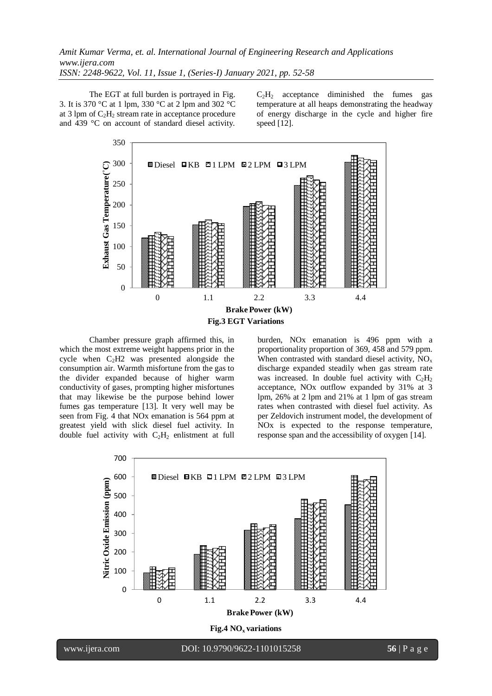The EGT at full burden is portrayed in Fig. 3. It is 370 °C at 1 lpm, 330 °C at 2 lpm and 302 °C at 3 lpm of  $C_2H_2$  stream rate in acceptance procedure and 439 °C on account of standard diesel activity.

 $C_2H_2$  acceptance diminished the fumes gas temperature at all heaps demonstrating the headway of energy discharge in the cycle and higher fire speed [12].



Chamber pressure graph affirmed this, in which the most extreme weight happens prior in the cycle when  $C<sub>2</sub>H2$  was presented alongside the consumption air. Warmth misfortune from the gas to the divider expanded because of higher warm conductivity of gases, prompting higher misfortunes that may likewise be the purpose behind lower fumes gas temperature [13]. It very well may be seen from Fig. 4 that NOx emanation is 564 ppm at greatest yield with slick diesel fuel activity. In double fuel activity with  $C_2H_2$  enlistment at full burden, NOx emanation is 496 ppm with a proportionality proportion of 369, 458 and 579 ppm. When contrasted with standard diesel activity, NO<sub>x</sub> discharge expanded steadily when gas stream rate was increased. In double fuel activity with  $C_2H_2$ acceptance, NOx outflow expanded by 31% at 3 lpm, 26% at 2 lpm and 21% at 1 lpm of gas stream rates when contrasted with diesel fuel activity. As per Zeldovich instrument model, the development of NOx is expected to the response temperature, response span and the accessibility of oxygen [14].

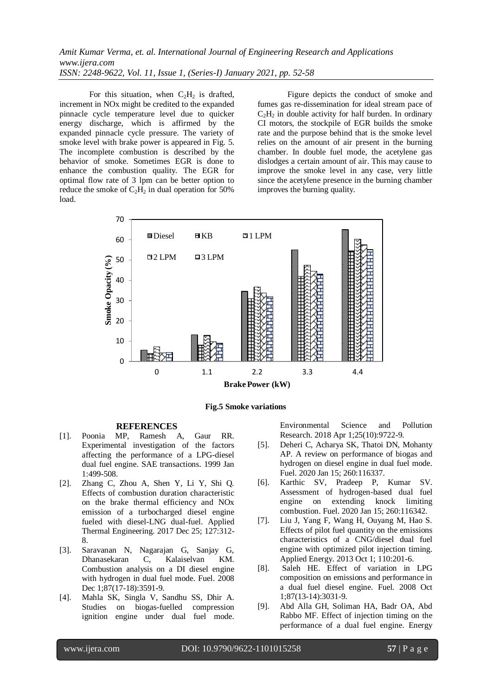For this situation, when  $C_2H_2$  is drafted, increment in NOx might be credited to the expanded pinnacle cycle temperature level due to quicker energy discharge, which is affirmed by the expanded pinnacle cycle pressure. The variety of smoke level with brake power is appeared in Fig. 5. The incomplete combustion is described by the behavior of smoke. Sometimes EGR is done to enhance the combustion quality. The EGR for optimal flow rate of 3 lpm can be better option to reduce the smoke of  $C_2H_2$  in dual operation for 50% load.

Figure depicts the conduct of smoke and fumes gas re-dissemination for ideal stream pace of  $C_2H_2$  in double activity for half burden. In ordinary CI motors, the stockpile of EGR builds the smoke rate and the purpose behind that is the smoke level relies on the amount of air present in the burning chamber. In double fuel mode, the acetylene gas dislodges a certain amount of air. This may cause to improve the smoke level in any case, very little since the acetylene presence in the burning chamber improves the burning quality.





#### **REFERENCES**

- [1]. Poonia MP, Ramesh A, Gaur RR. Experimental investigation of the factors affecting the performance of a LPG-diesel dual fuel engine. SAE transactions. 1999 Jan 1:499-508.
- [2]. Zhang C, Zhou A, Shen Y, Li Y, Shi Q. Effects of combustion duration characteristic on the brake thermal efficiency and NOx emission of a turbocharged diesel engine fueled with diesel-LNG dual-fuel. Applied Thermal Engineering. 2017 Dec 25; 127:312- 8.
- [3]. Saravanan N, Nagarajan G, Sanjay G, Dhanasekaran C, Kalaiselvan KM. Combustion analysis on a DI diesel engine with hydrogen in dual fuel mode. Fuel. 2008 Dec 1;87(17-18):3591-9.
- [4]. Mahla SK, Singla V, Sandhu SS, Dhir A. Studies on biogas-fuelled compression ignition engine under dual fuel mode.

Environmental Science and Pollution Research. 2018 Apr 1;25(10):9722-9.

- [5]. Deheri C, Acharya SK, Thatoi DN, Mohanty AP. A review on performance of biogas and hydrogen on diesel engine in dual fuel mode. Fuel. 2020 Jan 15; 260:116337.
- [6]. Karthic SV, Pradeep P, Kumar SV. Assessment of hydrogen-based dual fuel engine on extending knock limiting combustion. Fuel. 2020 Jan 15; 260:116342.
- [7]. Liu J, Yang F, Wang H, Ouyang M, Hao S. Effects of pilot fuel quantity on the emissions characteristics of a CNG/diesel dual fuel engine with optimized pilot injection timing. Applied Energy. 2013 Oct 1; 110:201-6.
- [8]. Saleh HE. Effect of variation in LPG composition on emissions and performance in a dual fuel diesel engine. Fuel. 2008 Oct 1;87(13-14):3031-9.
- [9]. Abd Alla GH, Soliman HA, Badr OA, Abd Rabbo MF. Effect of injection timing on the performance of a dual fuel engine. Energy